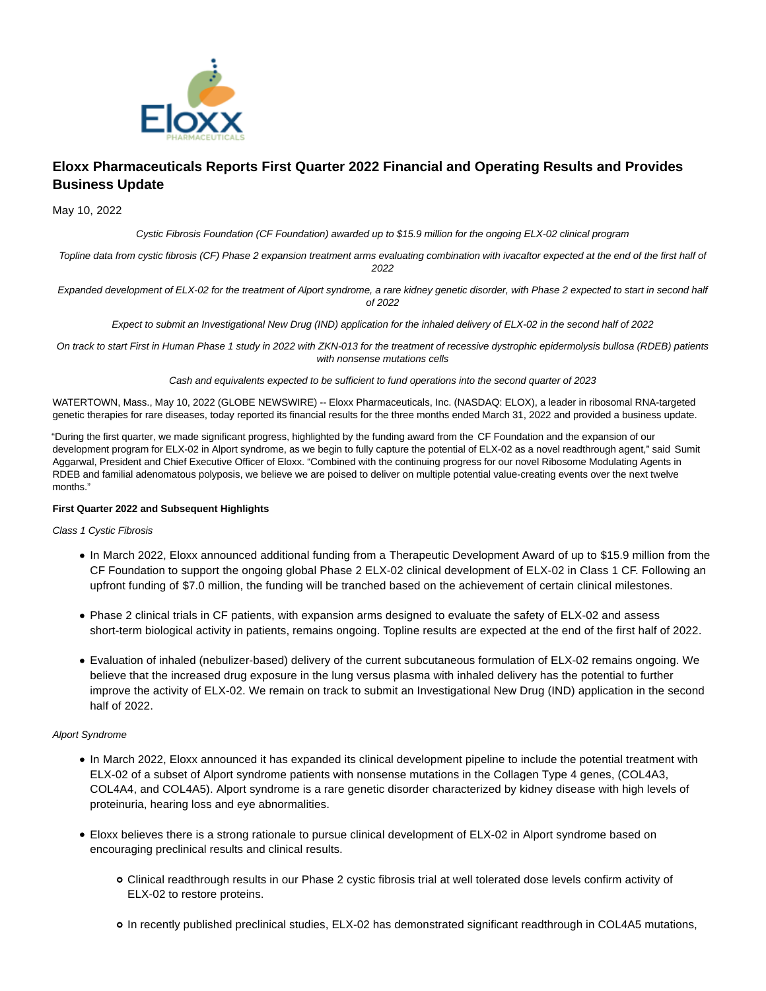

# **Eloxx Pharmaceuticals Reports First Quarter 2022 Financial and Operating Results and Provides Business Update**

May 10, 2022

Cystic Fibrosis Foundation (CF Foundation) awarded up to \$15.9 million for the ongoing ELX-02 clinical program

Topline data from cystic fibrosis (CF) Phase 2 expansion treatment arms evaluating combination with ivacaftor expected at the end of the first half of 2022

Expanded development of ELX-02 for the treatment of Alport syndrome, a rare kidney genetic disorder, with Phase 2 expected to start in second half of 2022

Expect to submit an Investigational New Drug (IND) application for the inhaled delivery of ELX-02 in the second half of 2022

On track to start First in Human Phase 1 study in 2022 with ZKN-013 for the treatment of recessive dystrophic epidermolysis bullosa (RDEB) patients with nonsense mutations cells

Cash and equivalents expected to be sufficient to fund operations into the second quarter of 2023

WATERTOWN, Mass., May 10, 2022 (GLOBE NEWSWIRE) -- Eloxx Pharmaceuticals, Inc. (NASDAQ: ELOX), a leader in ribosomal RNA-targeted genetic therapies for rare diseases, today reported its financial results for the three months ended March 31, 2022 and provided a business update.

"During the first quarter, we made significant progress, highlighted by the funding award from the CF Foundation and the expansion of our development program for ELX-02 in Alport syndrome, as we begin to fully capture the potential of ELX-02 as a novel readthrough agent," said Sumit Aggarwal, President and Chief Executive Officer of Eloxx. "Combined with the continuing progress for our novel Ribosome Modulating Agents in RDEB and familial adenomatous polyposis, we believe we are poised to deliver on multiple potential value-creating events over the next twelve months."

## **First Quarter 2022 and Subsequent Highlights**

#### Class 1 Cystic Fibrosis

- In March 2022, Eloxx announced additional funding from a Therapeutic Development Award of up to \$15.9 million from the CF Foundation to support the ongoing global Phase 2 ELX-02 clinical development of ELX-02 in Class 1 CF. Following an upfront funding of \$7.0 million, the funding will be tranched based on the achievement of certain clinical milestones.
- Phase 2 clinical trials in CF patients, with expansion arms designed to evaluate the safety of ELX-02 and assess short-term biological activity in patients, remains ongoing. Topline results are expected at the end of the first half of 2022.
- Evaluation of inhaled (nebulizer-based) delivery of the current subcutaneous formulation of ELX-02 remains ongoing. We believe that the increased drug exposure in the lung versus plasma with inhaled delivery has the potential to further improve the activity of ELX-02. We remain on track to submit an Investigational New Drug (IND) application in the second half of 2022.

## Alport Syndrome

- In March 2022, Eloxx announced it has expanded its clinical development pipeline to include the potential treatment with ELX-02 of a subset of Alport syndrome patients with nonsense mutations in the Collagen Type 4 genes, (COL4A3, COL4A4, and COL4A5). Alport syndrome is a rare genetic disorder characterized by kidney disease with high levels of proteinuria, hearing loss and eye abnormalities.
- Eloxx believes there is a strong rationale to pursue clinical development of ELX-02 in Alport syndrome based on encouraging preclinical results and clinical results.
	- Clinical readthrough results in our Phase 2 cystic fibrosis trial at well tolerated dose levels confirm activity of ELX-02 to restore proteins.
	- In recently published preclinical studies, ELX-02 has demonstrated significant readthrough in COL4A5 mutations,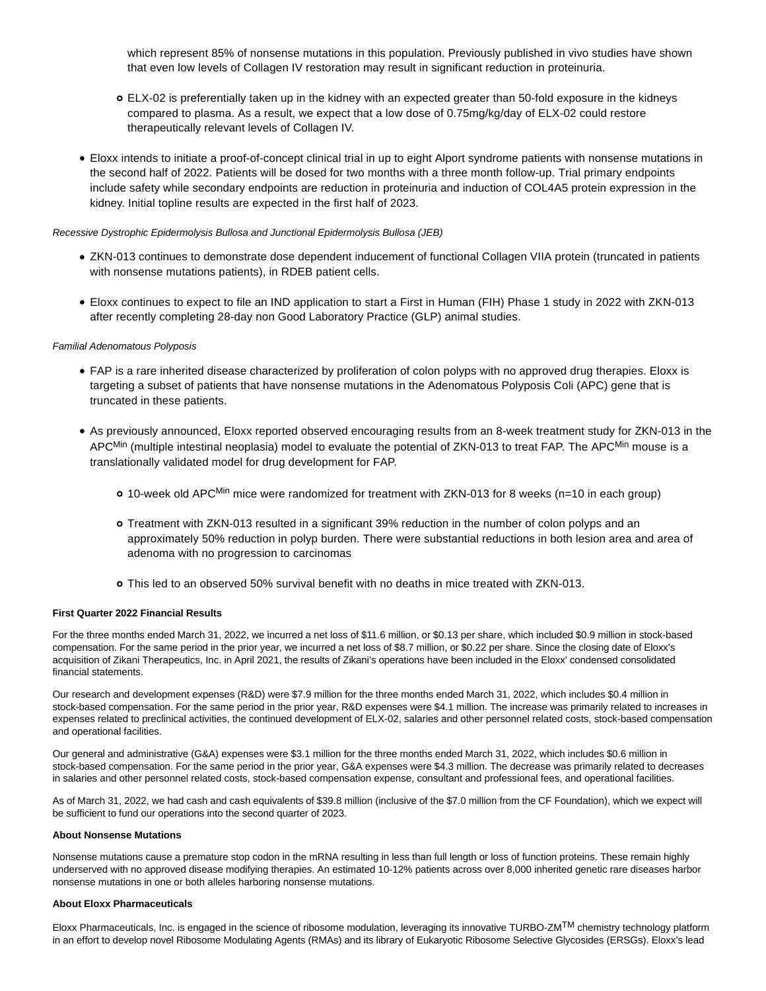which represent 85% of nonsense mutations in this population. Previously published in vivo studies have shown that even low levels of Collagen IV restoration may result in significant reduction in proteinuria.

- ELX-02 is preferentially taken up in the kidney with an expected greater than 50-fold exposure in the kidneys compared to plasma. As a result, we expect that a low dose of 0.75mg/kg/day of ELX-02 could restore therapeutically relevant levels of Collagen IV.
- Eloxx intends to initiate a proof-of-concept clinical trial in up to eight Alport syndrome patients with nonsense mutations in the second half of 2022. Patients will be dosed for two months with a three month follow-up. Trial primary endpoints include safety while secondary endpoints are reduction in proteinuria and induction of COL4A5 protein expression in the kidney. Initial topline results are expected in the first half of 2023.

#### Recessive Dystrophic Epidermolysis Bullosa and Junctional Epidermolysis Bullosa (JEB)

- ZKN-013 continues to demonstrate dose dependent inducement of functional Collagen VIIA protein (truncated in patients with nonsense mutations patients), in RDEB patient cells.
- Eloxx continues to expect to file an IND application to start a First in Human (FIH) Phase 1 study in 2022 with ZKN-013 after recently completing 28-day non Good Laboratory Practice (GLP) animal studies.

### Familial Adenomatous Polyposis

- FAP is a rare inherited disease characterized by proliferation of colon polyps with no approved drug therapies. Eloxx is targeting a subset of patients that have nonsense mutations in the Adenomatous Polyposis Coli (APC) gene that is truncated in these patients.
- As previously announced, Eloxx reported observed encouraging results from an 8-week treatment study for ZKN-013 in the APC<sup>Min</sup> (multiple intestinal neoplasia) model to evaluate the potential of ZKN-013 to treat FAP. The APC<sup>Min</sup> mouse is a translationally validated model for drug development for FAP.
	- 10-week old APCMin mice were randomized for treatment with ZKN-013 for 8 weeks (n=10 in each group)
	- Treatment with ZKN-013 resulted in a significant 39% reduction in the number of colon polyps and an approximately 50% reduction in polyp burden. There were substantial reductions in both lesion area and area of adenoma with no progression to carcinomas
	- This led to an observed 50% survival benefit with no deaths in mice treated with ZKN-013.

#### **First Quarter 2022 Financial Results**

For the three months ended March 31, 2022, we incurred a net loss of \$11.6 million, or \$0.13 per share, which included \$0.9 million in stock-based compensation. For the same period in the prior year, we incurred a net loss of \$8.7 million, or \$0.22 per share. Since the closing date of Eloxx's acquisition of Zikani Therapeutics, Inc. in April 2021, the results of Zikani's operations have been included in the Eloxx' condensed consolidated financial statements.

Our research and development expenses (R&D) were \$7.9 million for the three months ended March 31, 2022, which includes \$0.4 million in stock-based compensation. For the same period in the prior year, R&D expenses were \$4.1 million. The increase was primarily related to increases in expenses related to preclinical activities, the continued development of ELX-02, salaries and other personnel related costs, stock-based compensation and operational facilities.

Our general and administrative (G&A) expenses were \$3.1 million for the three months ended March 31, 2022, which includes \$0.6 million in stock-based compensation. For the same period in the prior year, G&A expenses were \$4.3 million. The decrease was primarily related to decreases in salaries and other personnel related costs, stock-based compensation expense, consultant and professional fees, and operational facilities.

As of March 31, 2022, we had cash and cash equivalents of \$39.8 million (inclusive of the \$7.0 million from the CF Foundation), which we expect will be sufficient to fund our operations into the second quarter of 2023.

#### **About Nonsense Mutations**

Nonsense mutations cause a premature stop codon in the mRNA resulting in less than full length or loss of function proteins. These remain highly underserved with no approved disease modifying therapies. An estimated 10-12% patients across over 8,000 inherited genetic rare diseases harbor nonsense mutations in one or both alleles harboring nonsense mutations.

#### **About Eloxx Pharmaceuticals**

Eloxx Pharmaceuticals, Inc. is engaged in the science of ribosome modulation, leveraging its innovative TURBO-ZMTM chemistry technology platform in an effort to develop novel Ribosome Modulating Agents (RMAs) and its library of Eukaryotic Ribosome Selective Glycosides (ERSGs). Eloxx's lead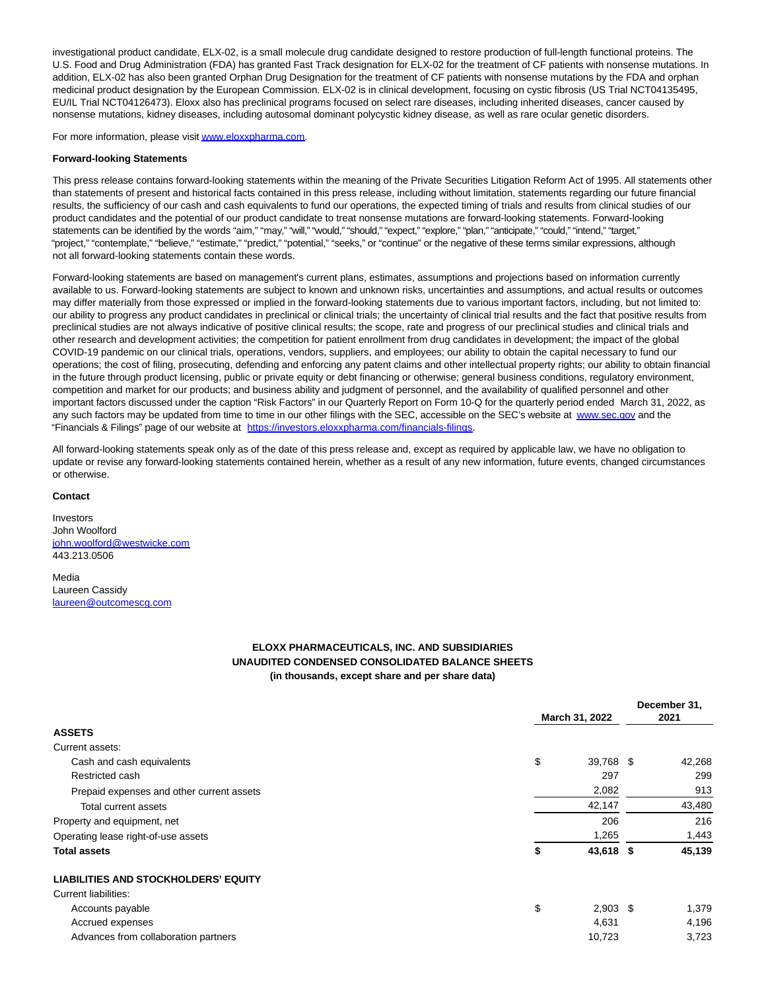investigational product candidate, ELX-02, is a small molecule drug candidate designed to restore production of full-length functional proteins. The U.S. Food and Drug Administration (FDA) has granted Fast Track designation for ELX-02 for the treatment of CF patients with nonsense mutations. In addition, ELX-02 has also been granted Orphan Drug Designation for the treatment of CF patients with nonsense mutations by the FDA and orphan medicinal product designation by the European Commission. ELX-02 is in clinical development, focusing on cystic fibrosis (US Trial NCT04135495, EU/IL Trial NCT04126473). Eloxx also has preclinical programs focused on select rare diseases, including inherited diseases, cancer caused by nonsense mutations, kidney diseases, including autosomal dominant polycystic kidney disease, as well as rare ocular genetic disorders.

For more information, please visi[t www.eloxxpharma.com.](https://www.globenewswire.com/Tracker?data=e8EyrBeE7i89jBt_hmxeYm8ZU3TkedZCPD6cAizgHRC-88ie2IOsQg3UGTFqdJohR53miMIMek_R-fn2ZQ-5FDcrDEXB5loX_OmP751mBKc=)

#### **Forward-looking Statements**

This press release contains forward-looking statements within the meaning of the Private Securities Litigation Reform Act of 1995. All statements other than statements of present and historical facts contained in this press release, including without limitation, statements regarding our future financial results, the sufficiency of our cash and cash equivalents to fund our operations, the expected timing of trials and results from clinical studies of our product candidates and the potential of our product candidate to treat nonsense mutations are forward-looking statements. Forward-looking statements can be identified by the words "aim," "may," "will," "would," "should," "expect," "explore," "plan," "anticipate," "could," "intend," "target," "project," "contemplate," "believe," "estimate," "predict," "potential," "seeks," or "continue" or the negative of these terms similar expressions, although not all forward-looking statements contain these words.

Forward-looking statements are based on management's current plans, estimates, assumptions and projections based on information currently available to us. Forward-looking statements are subject to known and unknown risks, uncertainties and assumptions, and actual results or outcomes may differ materially from those expressed or implied in the forward-looking statements due to various important factors, including, but not limited to: our ability to progress any product candidates in preclinical or clinical trials; the uncertainty of clinical trial results and the fact that positive results from preclinical studies are not always indicative of positive clinical results; the scope, rate and progress of our preclinical studies and clinical trials and other research and development activities; the competition for patient enrollment from drug candidates in development; the impact of the global COVID-19 pandemic on our clinical trials, operations, vendors, suppliers, and employees; our ability to obtain the capital necessary to fund our operations; the cost of filing, prosecuting, defending and enforcing any patent claims and other intellectual property rights; our ability to obtain financial in the future through product licensing, public or private equity or debt financing or otherwise; general business conditions, regulatory environment, competition and market for our products; and business ability and judgment of personnel, and the availability of qualified personnel and other important factors discussed under the caption "Risk Factors" in our Quarterly Report on Form 10-Q for the quarterly period ended March 31, 2022, as any such factors may be updated from time to time in our other filings with the SEC, accessible on the SEC's website at [www.sec.gov a](http://www.sec.gov/)nd the "Financials & Filings" page of our website at [https://investors.eloxxpharma.com/financials-filings.](https://www.globenewswire.com/Tracker?data=RnBKeS91uW0ML66O9nzYf8E5DVJLuBRfkaLsEW4Jiu1YuszUSYQ70kbNJC_fh4cq_D87mgtfukcMv2vsxWebGvSP5zUwvxD0WQsVwtOvlUOlrcszLWxZZaoTOG20QBJIpiORj5V4CPtooJUEkH9S3J2V9clxk3JzzC54FveZz8U=)

All forward-looking statements speak only as of the date of this press release and, except as required by applicable law, we have no obligation to update or revise any forward-looking statements contained herein, whether as a result of any new information, future events, changed circumstances or otherwise.

#### **Contact**

Investors John Woolford [john.woolford@westwicke.com](https://www.globenewswire.com/Tracker?data=DjPJILLsV88xkmOqH6ngI13fZe5mDhOsLkzNd51zq5FLnwNz_-EwddbqLNyn7eLlzz7uKM_wWW33E07fStEc6at5w2-FQOMRiz3v9Qdq4CJg_gT3LlxCovoxyhHhim2O) 443.213.0506

Media Laureen Cassidy [laureen@outcomescg.com](https://www.globenewswire.com/Tracker?data=vrsSe8yM0myYVBB5E-gszFro3C-Y_V32YsHTFsh27fWNYY46t6tUIPq-KqfgqgwMc34X8VBikmVbbWgUrPl5y9x7nhGrdzHx34ENEQrelB8=)

## **ELOXX PHARMACEUTICALS, INC. AND SUBSIDIARIES UNAUDITED CONDENSED CONSOLIDATED BALANCE SHEETS (in thousands, except share and per share data)**

|                                             |                |            | December 31, |
|---------------------------------------------|----------------|------------|--------------|
|                                             | March 31, 2022 |            | 2021         |
| <b>ASSETS</b>                               |                |            |              |
| Current assets:                             |                |            |              |
| Cash and cash equivalents                   | \$             | 39,768 \$  | 42,268       |
| Restricted cash                             |                | 297        | 299          |
| Prepaid expenses and other current assets   |                | 2,082      | 913          |
| Total current assets                        |                | 42,147     | 43,480       |
| Property and equipment, net                 |                | 206        | 216          |
| Operating lease right-of-use assets         |                | 1,265      | 1,443        |
| <b>Total assets</b>                         | \$             | 43,618 \$  | 45,139       |
| <b>LIABILITIES AND STOCKHOLDERS' EQUITY</b> |                |            |              |
| <b>Current liabilities:</b>                 |                |            |              |
| Accounts payable                            | \$             | $2,903$ \$ | 1,379        |
| Accrued expenses                            |                | 4,631      | 4,196        |
| Advances from collaboration partners        |                | 10,723     | 3,723        |